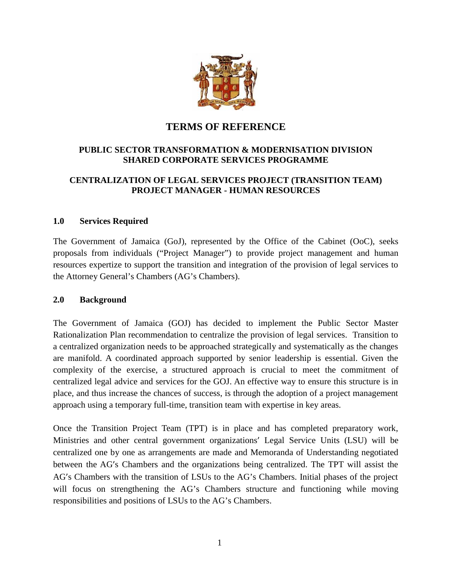

# **TERMS OF REFERENCE**

## **PUBLIC SECTOR TRANSFORMATION & MODERNISATION DIVISION SHARED CORPORATE SERVICES PROGRAMME**

## **CENTRALIZATION OF LEGAL SERVICES PROJECT (TRANSITION TEAM) PROJECT MANAGER - HUMAN RESOURCES**

#### **1.0 Services Required**

The Government of Jamaica (GoJ), represented by the Office of the Cabinet (OoC), seeks proposals from individuals ("Project Manager") to provide project management and human resources expertize to support the transition and integration of the provision of legal services to the Attorney General's Chambers (AG's Chambers).

#### **2.0 Background**

The Government of Jamaica (GOJ) has decided to implement the Public Sector Master Rationalization Plan recommendation to centralize the provision of legal services. Transition to a centralized organization needs to be approached strategically and systematically as the changes are manifold. A coordinated approach supported by senior leadership is essential. Given the complexity of the exercise, a structured approach is crucial to meet the commitment of centralized legal advice and services for the GOJ. An effective way to ensure this structure is in place, and thus increase the chances of success, is through the adoption of a project management approach using a temporary full-time, transition team with expertise in key areas.

Once the Transition Project Team (TPT) is in place and has completed preparatory work, Ministries and other central government organizations' Legal Service Units (LSU) will be centralized one by one as arrangements are made and Memoranda of Understanding negotiated between the AG's Chambers and the organizations being centralized. The TPT will assist the AG's Chambers with the transition of LSUs to the AG's Chambers. Initial phases of the project will focus on strengthening the AG's Chambers structure and functioning while moving responsibilities and positions of LSUs to the AG's Chambers.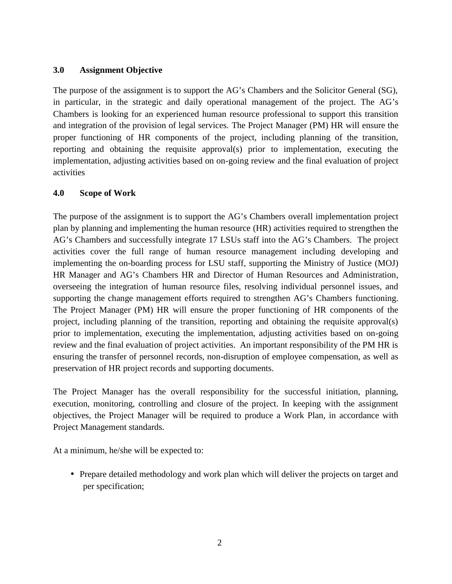#### **3.0 Assignment Objective**

The purpose of the assignment is to support the AG's Chambers and the Solicitor General (SG), in particular, in the strategic and daily operational management of the project. The AG's Chambers is looking for an experienced human resource professional to support this transition and integration of the provision of legal services. The Project Manager (PM) HR will ensure the proper functioning of HR components of the project, including planning of the transition, reporting and obtaining the requisite approval(s) prior to implementation, executing the implementation, adjusting activities based on on-going review and the final evaluation of project activities

#### **4.0 Scope of Work**

The purpose of the assignment is to support the AG's Chambers overall implementation project plan by planning and implementing the human resource (HR) activities required to strengthen the AG's Chambers and successfully integrate 17 LSUs staff into the AG's Chambers. The project activities cover the full range of human resource management including developing and implementing the on-boarding process for LSU staff, supporting the Ministry of Justice (MOJ) HR Manager and AG's Chambers HR and Director of Human Resources and Administration, overseeing the integration of human resource files, resolving individual personnel issues, and supporting the change management efforts required to strengthen AG's Chambers functioning. The Project Manager (PM) HR will ensure the proper functioning of HR components of the project, including planning of the transition, reporting and obtaining the requisite approval(s) prior to implementation, executing the implementation, adjusting activities based on on-going review and the final evaluation of project activities. An important responsibility of the PM HR is ensuring the transfer of personnel records, non-disruption of employee compensation, as well as preservation of HR project records and supporting documents.

The Project Manager has the overall responsibility for the successful initiation, planning, execution, monitoring, controlling and closure of the project. In keeping with the assignment objectives, the Project Manager will be required to produce a Work Plan, in accordance with Project Management standards.

At a minimum, he/she will be expected to:

• Prepare detailed methodology and work plan which will deliver the projects on target and per specification;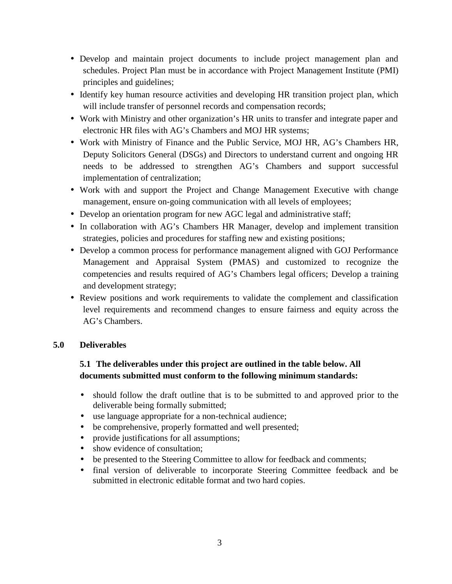- Develop and maintain project documents to include project management plan and schedules. Project Plan must be in accordance with Project Management Institute (PMI) principles and guidelines;
- Identify key human resource activities and developing HR transition project plan, which will include transfer of personnel records and compensation records;
- Work with Ministry and other organization's HR units to transfer and integrate paper and electronic HR files with AG's Chambers and MOJ HR systems;
- Work with Ministry of Finance and the Public Service, MOJ HR, AG's Chambers HR, Deputy Solicitors General (DSGs) and Directors to understand current and ongoing HR needs to be addressed to strengthen AG's Chambers and support successful implementation of centralization;
- Work with and support the Project and Change Management Executive with change management, ensure on-going communication with all levels of employees;
- Develop an orientation program for new AGC legal and administrative staff;
- In collaboration with AG's Chambers HR Manager, develop and implement transition strategies, policies and procedures for staffing new and existing positions;
- Develop a common process for performance management aligned with GOJ Performance Management and Appraisal System (PMAS) and customized to recognize the competencies and results required of AG's Chambers legal officers; Develop a training and development strategy;
- Review positions and work requirements to validate the complement and classification level requirements and recommend changes to ensure fairness and equity across the AG's Chambers.

## **5.0 Deliverables**

# **5.1 The deliverables under this project are outlined in the table below. All documents submitted must conform to the following minimum standards:**

- should follow the draft outline that is to be submitted to and approved prior to the deliverable being formally submitted;
- use language appropriate for a non-technical audience;
- be comprehensive, properly formatted and well presented;
- provide justifications for all assumptions;
- show evidence of consultation;
- be presented to the Steering Committee to allow for feedback and comments;
- final version of deliverable to incorporate Steering Committee feedback and be submitted in electronic editable format and two hard copies.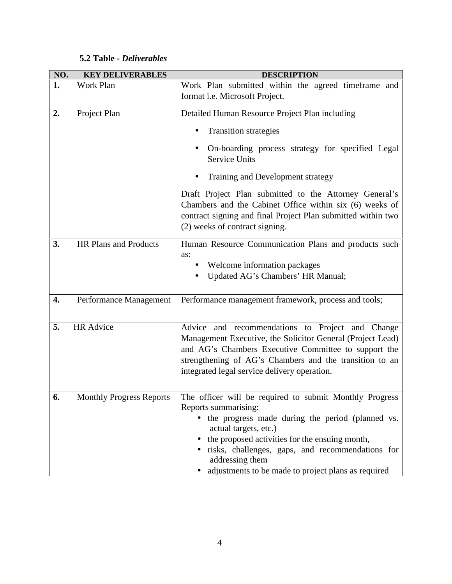# **5.2 Table** *- Deliverables*

| NO. | <b>KEY DELIVERABLES</b><br><b>DESCRIPTION</b> |                                                                                                                                                                                                                                                                                                                                                                                      |  |  |  |
|-----|-----------------------------------------------|--------------------------------------------------------------------------------------------------------------------------------------------------------------------------------------------------------------------------------------------------------------------------------------------------------------------------------------------------------------------------------------|--|--|--|
| 1.  | Work Plan                                     | Work Plan submitted within the agreed timeframe and<br>format i.e. Microsoft Project.                                                                                                                                                                                                                                                                                                |  |  |  |
| 2.  | Project Plan                                  | Detailed Human Resource Project Plan including<br><b>Transition strategies</b><br>On-boarding process strategy for specified Legal<br><b>Service Units</b><br>Training and Development strategy<br>Draft Project Plan submitted to the Attorney General's<br>Chambers and the Cabinet Office within six (6) weeks of<br>contract signing and final Project Plan submitted within two |  |  |  |
| 3.  | HR Plans and Products                         | (2) weeks of contract signing.<br>Human Resource Communication Plans and products such<br>as:<br>Welcome information packages<br>Updated AG's Chambers' HR Manual;                                                                                                                                                                                                                   |  |  |  |
| 4.  | Performance Management                        | Performance management framework, process and tools;                                                                                                                                                                                                                                                                                                                                 |  |  |  |
| 5.  | <b>HR</b> Advice                              | Advice and recommendations to Project and Change<br>Management Executive, the Solicitor General (Project Lead)<br>and AG's Chambers Executive Committee to support the<br>strengthening of AG's Chambers and the transition to an<br>integrated legal service delivery operation.                                                                                                    |  |  |  |
| 6.  | <b>Monthly Progress Reports</b>               | The officer will be required to submit Monthly Progress<br>Reports summarising:<br>• the progress made during the period (planned vs.<br>actual targets, etc.)<br>the proposed activities for the ensuing month,<br>risks, challenges, gaps, and recommendations for<br>addressing them<br>adjustments to be made to project plans as required                                       |  |  |  |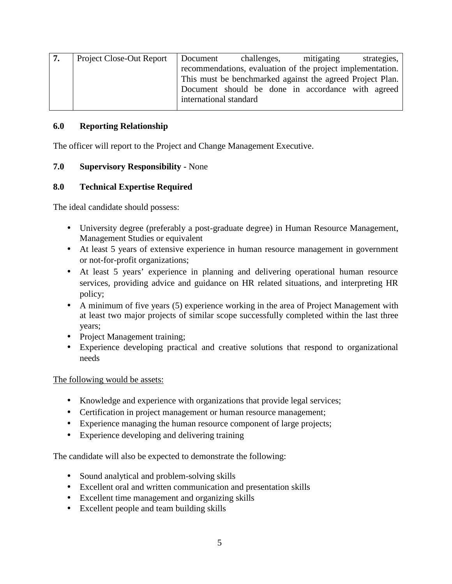| ' 7. | Project Close-Out Report   Document |                                                            | challenges, | mitigating                                        | strategies, |  |
|------|-------------------------------------|------------------------------------------------------------|-------------|---------------------------------------------------|-------------|--|
|      |                                     | recommendations, evaluation of the project implementation. |             |                                                   |             |  |
|      |                                     | This must be benchmarked against the agreed Project Plan.  |             |                                                   |             |  |
|      |                                     |                                                            |             | Document should be done in accordance with agreed |             |  |
|      |                                     | international standard                                     |             |                                                   |             |  |
|      |                                     |                                                            |             |                                                   |             |  |

#### **6.0 Reporting Relationship**

The officer will report to the Project and Change Management Executive.

#### **7.0 Supervisory Responsibility -** None

## **8.0 Technical Expertise Required**

The ideal candidate should possess:

- University degree (preferably a post-graduate degree) in Human Resource Management, Management Studies or equivalent
- At least 5 years of extensive experience in human resource management in government or not-for-profit organizations;
- At least 5 years' experience in planning and delivering operational human resource services, providing advice and guidance on HR related situations, and interpreting HR policy;
- A minimum of five years (5) experience working in the area of Project Management with at least two major projects of similar scope successfully completed within the last three years;
- Project Management training;
- Experience developing practical and creative solutions that respond to organizational needs

#### The following would be assets:

- Knowledge and experience with organizations that provide legal services;
- Certification in project management or human resource management;
- Experience managing the human resource component of large projects;
- Experience developing and delivering training

The candidate will also be expected to demonstrate the following:

- Sound analytical and problem-solving skills
- Excellent oral and written communication and presentation skills
- Excellent time management and organizing skills
- Excellent people and team building skills